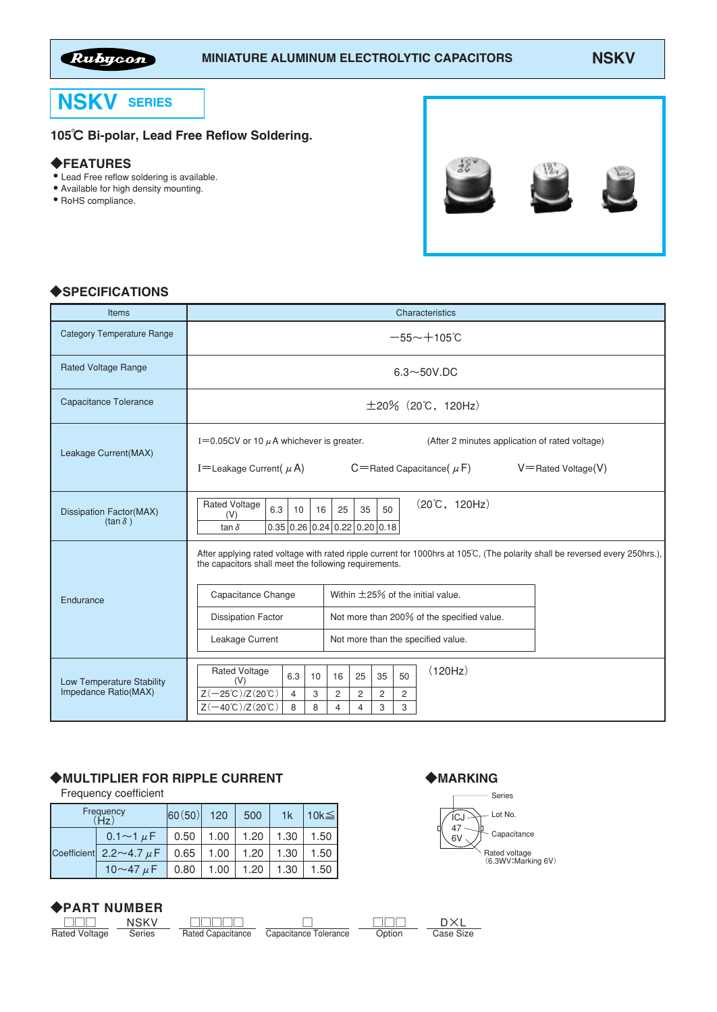

# **NSKV SERIES**

## 105℃ Bi-polar, Lead Free Reflow Soldering.

#### ◆FEATURES

- Lead Free reflow soldering is available.
- Available for high density mounting.
- RoHS compliance.



## ◆SPECIFICATIONS

| Items                                             | Characteristics                                                                                                                                                                                                                                                                                                                                                                           |  |  |  |  |  |  |  |  |
|---------------------------------------------------|-------------------------------------------------------------------------------------------------------------------------------------------------------------------------------------------------------------------------------------------------------------------------------------------------------------------------------------------------------------------------------------------|--|--|--|--|--|--|--|--|
| <b>Category Temperature Range</b>                 | $-55 - +105$ °C                                                                                                                                                                                                                                                                                                                                                                           |  |  |  |  |  |  |  |  |
| <b>Rated Voltage Range</b>                        | $6.3\neg 50V$ .DC                                                                                                                                                                                                                                                                                                                                                                         |  |  |  |  |  |  |  |  |
| Capacitance Tolerance                             | $\pm 20\%$ (20°C, 120Hz)                                                                                                                                                                                                                                                                                                                                                                  |  |  |  |  |  |  |  |  |
| Leakage Current(MAX)                              | I=0.05CV or 10 $\mu$ A whichever is greater.<br>(After 2 minutes application of rated voltage)<br>I=Leakage Current $(\mu A)$<br>$C =$ Rated Capacitance $(\mu F)$<br>$V =$ Rated Voltage $(V)$                                                                                                                                                                                           |  |  |  |  |  |  |  |  |
| Dissipation Factor(MAX)<br>$(tan \delta)$         | $(20^{\circ}\text{C}, 120\text{Hz})$<br><b>Rated Voltage</b><br>6.3<br>35<br>10<br>16<br>25<br>50<br>(V)<br>$0.35 \mid 0.26 \mid 0.24 \mid 0.22 \mid 0.20 \mid 0.18$<br>tan $\delta$                                                                                                                                                                                                      |  |  |  |  |  |  |  |  |
| Endurance                                         | After applying rated voltage with rated ripple current for 1000hrs at 105°C, (The polarity shall be reversed every 250hrs.),<br>the capacitors shall meet the following requirements.<br>Within $\pm$ 25% of the initial value.<br>Capacitance Change<br>Not more than 200% of the specified value.<br><b>Dissipation Factor</b><br>Leakage Current<br>Not more than the specified value. |  |  |  |  |  |  |  |  |
| Low Temperature Stability<br>Impedance Ratio(MAX) | (120Hz)<br><b>Rated Voltage</b><br>6.3<br>25<br>35<br>50<br>16<br>10<br>(V)<br>$Z(-25^{\circ}C)/Z(20^{\circ}C)$<br>$\overline{c}$<br>$\overline{4}$<br>3<br>2<br>2<br>2<br>$Z(-40^{\circ}C)/Z(20^{\circ}C)$<br>8<br>8<br>3<br>3<br>4<br>4                                                                                                                                                 |  |  |  |  |  |  |  |  |

## ◆MULTIPLIER FOR RIPPLE CURRENT

Frequency coefficient

| Frequency | $ 60(50) $ 120 500                                        |      | 1k            | $ 10k$ ≤ |      |
|-----------|-----------------------------------------------------------|------|---------------|----------|------|
|           | $0.1 \sim 1 \mu$ F   0.50   1.00   1.20   1.30            |      |               |          | 1.50 |
|           | Coefficient 2.2 ~ 4.7 $\mu$ F   0.65   1.00   1.20   1.30 |      |               |          | 1.50 |
|           | 10 $\sim$ 47 $\mu$ F                                      | 0.80 | $1.00$   1.20 | 1.30     | 1.50 |

#### ◆PART NUMBER NSKV

**Series** 

| Raten<br>voitade |  |
|------------------|--|

□□□□□ Rated Capacitance □ Capacitance Tolerance

◆MARKING



|        | DXL       |
|--------|-----------|
| Option | Case Size |